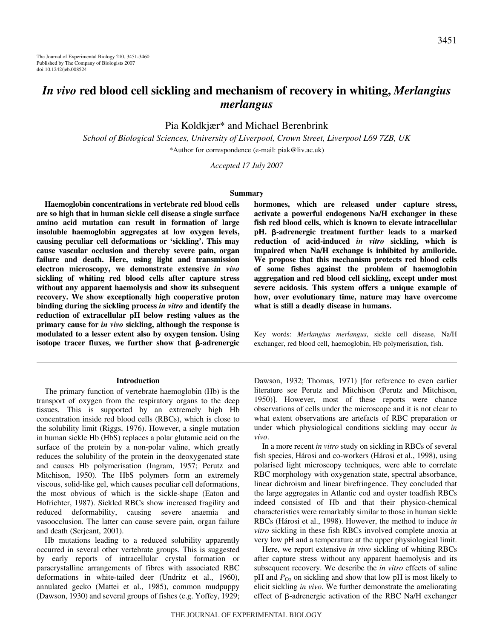Pia Koldkjær\* and Michael Berenbrink

*School of Biological Sciences, University of Liverpool, Crown Street, Liverpool L69 7ZB, UK* \*Author for correspondence (e-mail: piak@liv.ac.uk)

*Accepted 17 July 2007*

#### **Summary**

**Haemoglobin concentrations in vertebrate red blood cells are so high that in human sickle cell disease a single surface amino acid mutation can result in formation of large insoluble haemoglobin aggregates at low oxygen levels, causing peculiar cell deformations or 'sickling'. This may cause vascular occlusion and thereby severe pain, organ failure and death. Here, using light and transmission electron microscopy, we demonstrate extensive** *in vivo* **sickling of whiting red blood cells after capture stress without any apparent haemolysis and show its subsequent recovery. We show exceptionally high cooperative proton binding during the sickling process** *in vitro* **and identify the reduction of extracellular pH below resting values as the primary cause for** *in vivo* **sickling, although the response is modulated to a lesser extent also by oxygen tension. Using isotope tracer fluxes, we further show that β-adrenergic** 

#### **Introduction**

The primary function of vertebrate haemoglobin (Hb) is the transport of oxygen from the respiratory organs to the deep tissues. This is supported by an extremely high Hb concentration inside red blood cells (RBCs), which is close to the solubility limit (Riggs, 1976). However, a single mutation in human sickle Hb (HbS) replaces a polar glutamic acid on the surface of the protein by a non-polar valine, which greatly reduces the solubility of the protein in the deoxygenated state and causes Hb polymerisation (Ingram, 1957; Perutz and Mitchison, 1950). The HbS polymers form an extremely viscous, solid-like gel, which causes peculiar cell deformations, the most obvious of which is the sickle-shape (Eaton and Hofrichter, 1987). Sickled RBCs show increased fragility and reduced deformability, causing severe anaemia and vasoocclusion. The latter can cause severe pain, organ failure and death (Serjeant, 2001).

Hb mutations leading to a reduced solubility apparently occurred in several other vertebrate groups. This is suggested by early reports of intracellular crystal formation or paracrystalline arrangements of fibres with associated RBC deformations in white-tailed deer (Undritz et al., 1960), annulated gecko (Mattei et al., 1985), common mudpuppy (Dawson, 1930) and several groups of fishes (e.g. Yoffey, 1929; **hormones, which are released under capture stress, activate a powerful endogenous Na/H exchanger in these fish red blood cells, which is known to elevate intracellular pH.** β-adrenergic treatment further leads to a marked **reduction of acid-induced** *in vitro* **sickling, which is impaired when Na/H exchange is inhibited by amiloride. We propose that this mechanism protects red blood cells of some fishes against the problem of haemoglobin aggregation and red blood cell sickling, except under most severe acidosis. This system offers a unique example of how, over evolutionary time, nature may have overcome what is still a deadly disease in humans.**

Key words: *Merlangius merlangus*, sickle cell disease, Na/H exchanger, red blood cell, haemoglobin, Hb polymerisation, fish.

Dawson, 1932; Thomas, 1971) [for reference to even earlier literature see Perutz and Mitchison (Perutz and Mitchison, 1950)]. However, most of these reports were chance observations of cells under the microscope and it is not clear to what extent observations are artefacts of RBC preparation or under which physiological conditions sickling may occur *in vivo*.

In a more recent *in vitro* study on sickling in RBCs of several fish species, Hárosi and co-workers (Hárosi et al., 1998), using polarised light microscopy techniques, were able to correlate RBC morphology with oxygenation state, spectral absorbance, linear dichroism and linear birefringence. They concluded that the large aggregates in Atlantic cod and oyster toadfish RBCs indeed consisted of Hb and that their physico-chemical characteristics were remarkably similar to those in human sickle RBCs (Hárosi et al., 1998). However, the method to induce *in vitro* sickling in these fish RBCs involved complete anoxia at very low pH and a temperature at the upper physiological limit.

Here, we report extensive *in vivo* sickling of whiting RBCs after capture stress without any apparent haemolysis and its subsequent recovery. We describe the *in vitro* effects of saline  $pH$  and  $P_{O_2}$  on sickling and show that low  $pH$  is most likely to elicit sickling *in vivo*. We further demonstrate the ameliorating effect of  $\beta$ -adrenergic activation of the RBC Na/H exchanger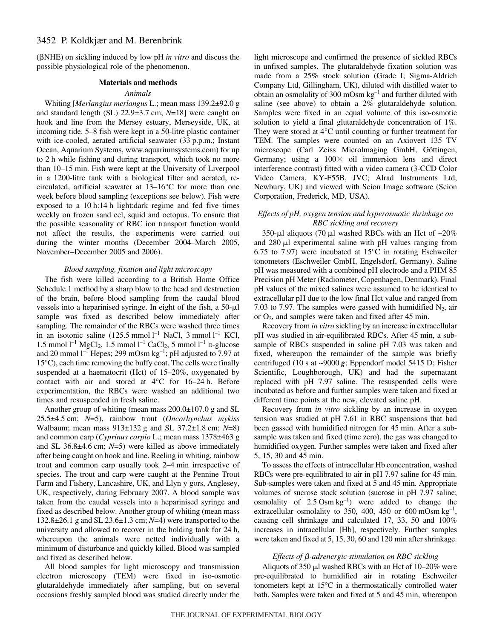( $\beta$ NHE) on sickling induced by low pH *in vitro* and discuss the possible physiological role of the phenomenon.

#### **Materials and methods**

# *Animals*

Whiting [*Merlangius merlangus* L.; mean mass 139.2±92.0·g and standard length (SL) 22.9±3.7 cm; *N*=18] were caught on hook and line from the Mersey estuary, Merseyside, UK, at incoming tide. 5–8 fish were kept in a 50-litre plastic container with ice-cooled, aerated artificial seawater (33 p.p.m.; Instant Ocean, Aquarium Systems, www.aquariumsystems.com) for up to 2 h while fishing and during transport, which took no more than 10–15 min. Fish were kept at the University of Liverpool in a 1200-litre tank with a biological filter and aerated, recirculated, artificial seawater at 13–16°C for more than one week before blood sampling (exceptions see below). Fish were exposed to a 10 h:14 h light:dark regime and fed five times weekly on frozen sand eel, squid and octopus. To ensure that the possible seasonality of RBC ion transport function would not affect the results, the experiments were carried out during the winter months (December 2004–March 2005, November–December 2005 and 2006).

# *Blood sampling, fixation and light microscopy*

The fish were killed according to a British Home Office Schedule 1 method by a sharp blow to the head and destruction of the brain, before blood sampling from the caudal blood vessels into a heparinised syringe. In eight of the fish, a  $50-\mu l$ sample was fixed as described below immediately after sampling. The remainder of the RBCs were washed three times in an isotonic saline  $(125.5 \text{ mmol } l^{-1} \text{ NaCl}, 3 \text{ mmol } l^{-1} \text{ KCl},$ 1.5 mmol  $l^{-1}$  MgCl<sub>2</sub>, 1.5 mmol  $l^{-1}$  CaCl<sub>2</sub>, 5 mmol  $l^{-1}$  D-glucose and 20 mmol  $l^{-1}$  Hepes; 299 mOsm kg<sup>-1</sup>; pH adjusted to 7.97 at 15°C), each time removing the buffy coat. The cells were finally suspended at a haematocrit (Hct) of 15–20%, oxygenated by contact with air and stored at  $4^{\circ}$ C for  $16-24$  h. Before experimentation, the RBCs were washed an additional two times and resuspended in fresh saline.

Another group of whiting (mean mass  $200.0\pm107.0$  g and SL 25.5±4.5·cm; *N*=5), rainbow trout (*Oncorhynchus mykiss* Walbaum; mean mass 913±132 g and SL 37.2±1.8 cm; *N*=8) and common carp (*Cyprinus carpio* L.; mean mass 1378±463 g and SL  $36.8\pm4.6$  cm;  $N=5$ ) were killed as above immediately after being caught on hook and line. Reeling in whiting, rainbow trout and common carp usually took 2–4 min irrespective of species. The trout and carp were caught at the Pennine Trout Farm and Fishery, Lancashire, UK, and Llyn y gors, Anglesey, UK, respectively, during February 2007. A blood sample was taken from the caudal vessels into a heparinised syringe and fixed as described below. Another group of whiting (mean mass  $132.8\pm 26.1$  g and SL  $23.6\pm 1.3$  cm;  $N=4$ ) were transported to the university and allowed to recover in the holding tank for 24 h, whereupon the animals were netted individually with a minimum of disturbance and quickly killed. Blood was sampled and fixed as described below.

All blood samples for light microscopy and transmission electron microscopy (TEM) were fixed in iso-osmotic glutaraldehyde immediately after sampling, but on several occasions freshly sampled blood was studied directly under the light microscope and confirmed the presence of sickled RBCs in unfixed samples. The glutaraldehyde fixation solution was made from a 25% stock solution (Grade I; Sigma-Aldrich Company Ltd, Gillingham, UK), diluted with distilled water to obtain an osmolality of 300 mOsm  $kg^{-1}$  and further diluted with saline (see above) to obtain a 2% glutaraldehyde solution. Samples were fixed in an equal volume of this iso-osmotic solution to yield a final glutaraldehyde concentration of 1%. They were stored at 4°C until counting or further treatment for TEM. The samples were counted on an Axiovert 135 TV microscope (Carl Zeiss Microlmaging GmbH, Göttingen, Germany; using a  $100 \times$  oil immersion lens and direct interference contrast) fitted with a video camera (3-CCD Color Video Camera, KY-F55B, JVC; Alrad Instruments Ltd, Newbury, UK) and viewed with Scion Image software (Scion Corporation, Frederick, MD, USA).

# *Effects of pH, oxygen tension and hyperosmotic shrinkage on RBC sickling and recovery*

350-µl aliquots (70 µl washed RBCs with an Hct of  $\sim$ 20% and  $280 \mu l$  experimental saline with pH values ranging from 6.75 to 7.97) were incubated at 15°C in rotating Eschweiler tonometers (Eschweiler GmbH, Engelsdorf, Germany). Saline pH was measured with a combined pH electrode and a PHM 85 Precision pH Meter (Radiometer, Copenhagen, Denmark). Final pH values of the mixed salines were assumed to be identical to extracellular pH due to the low final Hct value and ranged from 7.03 to 7.97. The samples were gassed with humidified  $N_2$ , air or  $O_2$ , and samples were taken and fixed after 45 min.

Recovery from *in vitro* sickling by an increase in extracellular pH was studied in air-equilibrated RBCs. After 45 min, a subsample of RBCs suspended in saline pH 7.03 was taken and fixed, whereupon the remainder of the sample was briefly centrifuged (10 s at  $\sim$ 9000 *g*; Eppendorf model 5415 D; Fisher Scientific, Loughborough, UK) and had the supernatant replaced with pH 7.97 saline. The resuspended cells were incubated as before and further samples were taken and fixed at different time points at the new, elevated saline pH.

Recovery from *in vitro* sickling by an increase in oxygen tension was studied at pH 7.61 in RBC suspensions that had been gassed with humidified nitrogen for 45 min. After a subsample was taken and fixed (time zero), the gas was changed to humidified oxygen. Further samples were taken and fixed after 5, 15, 30 and 45 min.

To assess the effects of intracellular Hb concentration, washed RBCs were pre-equilibrated to air in pH 7.97 saline for 45 min. Sub-samples were taken and fixed at 5 and 45 min. Appropriate volumes of sucrose stock solution (sucrose in pH 7.97 saline; osmolality of  $2.5 \text{ Osm kg}^{-1}$  were added to change the extracellular osmolality to 350, 400, 450 or 600 mOsm  $kg^{-1}$ , causing cell shrinkage and calculated 17, 33, 50 and 100% increases in intracellular [Hb], respectively. Further samples were taken and fixed at 5, 15, 30, 60 and 120 min after shrinkage.

### *Effects of β-adrenergic stimulation on RBC sickling*

Aliquots of 350  $\mu$ l washed RBCs with an Hct of 10–20% were pre-equilibrated to humidified air in rotating Eschweiler tonometers kept at 15°C in a thermostatically controlled water bath. Samples were taken and fixed at 5 and 45 min, whereupon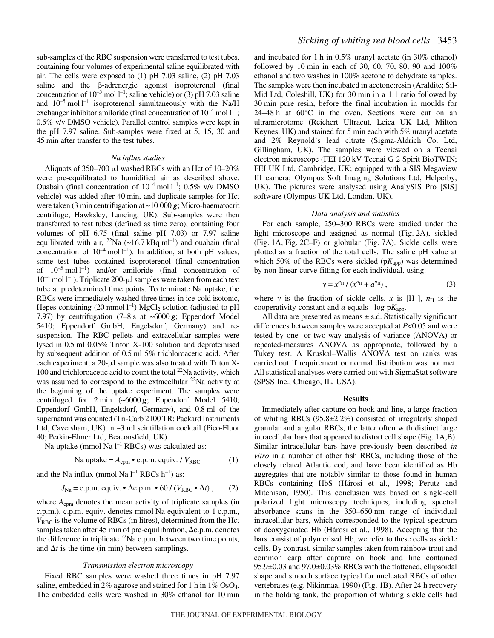sub-samples of the RBC suspension were transferred to test tubes, containing four volumes of experimental saline equilibrated with air. The cells were exposed to (1) pH 7.03 saline, (2) pH 7.03 saline and the  $\beta$ -adrenergic agonist isoproterenol (final concentration of  $10^{-5}$  mol  $l^{-1}$ ; saline vehicle) or (3) pH 7.03 saline and  $10^{-5}$  mol  $l^{-1}$  isoproterenol simultaneously with the Na/H exchanger inhibitor amiloride (final concentration of  $10^{-4}$  mol  $l^{-1}$ ; 0.5% v/v DMSO vehicle). Parallel control samples were kept in the pH 7.97 saline. Sub-samples were fixed at 5, 15, 30 and 45 min after transfer to the test tubes.

## *Na influx studies*

Aliquots of 350–700  $\mu$ l washed RBCs with an Hct of 10–20% were pre-equilibrated to humidified air as described above. Ouabain (final concentration of  $10^{-4}$  mol  $l^{-1}$ ; 0.5% v/v DMSO vehicle) was added after 40 min, and duplicate samples for Hct were taken (3 min centrifugation at  $\sim$ 10 000  $\boldsymbol{g}$ ; Micro-haematocrit centrifuge; Hawksley, Lancing, UK). Sub-samples were then transferred to test tubes (defined as time zero), containing four volumes of pH 6.75 (final saline pH 7.03) or 7.97 saline equilibrated with air,  $^{22}$ Na (~16.7 kBq ml<sup>-1</sup>) and ouabain (final concentration of  $10^{-4}$  mol  $l^{-1}$ ). In addition, at both pH values, some test tubes contained isoproterenol (final concentration of  $10^{-5}$  mol  $l^{-1}$ ) and/or amiloride (final concentration of  $10^{-4}$  mol  $1^{-1}$ ). Triplicate 200- $\mu$ l samples were taken from each test tube at predetermined time points. To terminate Na uptake, the RBCs were immediately washed three times in ice-cold isotonic, Hepes-containing (20 mmol  $l^{-1}$ ) MgCl<sub>2</sub> solution (adjusted to pH 7.97) by centrifugation  $(7-8 \text{ s at } -6000 \text{ g})$ ; Eppendorf Model 5410; Eppendorf GmbH, Engelsdorf, Germany) and resuspension. The RBC pellets and extracellular samples were lysed in 0.5 ml 0.05% Triton X-100 solution and deproteinised by subsequent addition of 0.5 ml 5% trichloroacetic acid. After each experiment, a  $20$ - $\mu$ l sample was also treated with Triton X-100 and trichloroacetic acid to count the total 22Na activity, which was assumed to correspond to the extracellular  $^{22}$ Na activity at the beginning of the uptake experiment. The samples were centrifuged for  $2 \text{ min}$  (~6000 *g*; Eppendorf Model 5410; Eppendorf GmbH, Engelsdorf, Germany), and 0.8 ml of the supernatant was counted (Tri-Carb 2100 TR; Packard Instruments Ltd, Caversham, UK) in  $\sim$ 3 ml scintillation cocktail (Pico-Fluor 40; Perkin-Elmer Ltd, Beaconsfield, UK).

Na uptake (mmol Na  $l^{-1}$  RBCs) was calculated as:

$$
Na uptake = A_{cpm} \cdot c.p.m. \text{equiv. } / V_{RBC} \tag{1}
$$

and the Na influx (mmol Na  $l^{-1}$  RBCs  $h^{-1}$ ) as:

$$
J_{\text{Na}} = \text{c.p.m.}
$$
equiv. •  $\Delta \text{c.p.m.}$  •  $60 / (V_{\text{RBC}} \cdot \Delta t)$ , (2)

where  $A_{\text{cpm}}$  denotes the mean activity of triplicate samples (in c.p.m.), c.p.m. equiv. denotes mmol Na equivalent to 1 c.p.m.,  $V_{RBC}$  is the volume of RBCs (in litres), determined from the Hct samples taken after 45 min of pre-equilibration,  $\Delta c$ .p.m. denotes the difference in triplicate  $^{22}$ Na c.p.m. between two time points, and  $\Delta t$  is the time (in min) between samplings.

## *Transmission electron microscopy*

Fixed RBC samples were washed three times in pH 7.97 saline, embedded in 2% agarose and stained for 1 h in  $1\%$  OsO<sub>4</sub>. The embedded cells were washed in 30% ethanol for 10 min and incubated for 1 h in  $0.5\%$  uranyl acetate (in 30% ethanol) followed by 10 min in each of 30, 60, 70, 80, 90 and  $100\%$ ethanol and two washes in 100% acetone to dehydrate samples. The samples were then incubated in acetone:resin (Araldite; Sil-Mid Ltd, Coleshill, UK) for 30 min in a 1:1 ratio followed by 30 min pure resin, before the final incubation in moulds for  $24-48$  h at  $60^{\circ}$ C in the oven. Sections were cut on an ultramicrotome (Reichert Ultracut, Leica UK Ltd, Milton Keynes, UK) and stained for 5 min each with  $5\%$  uranyl acetate and 2% Reynold's lead citrate (Sigma-Aldrich Co. Ltd, Gillingham, UK). The samples were viewed on a Tecnai electron microscope (FEI 120 kV Tecnai G 2 Spirit BioTWIN; FEI UK Ltd, Cambridge, UK; equipped with a SIS Megaview III camera; Olympus Soft Imaging Solutions Ltd, Helperby, UK). The pictures were analysed using AnalySIS Pro [SIS] software (Olympus UK Ltd, London, UK).

#### *Data analysis and statistics*

For each sample, 250–300 RBCs were studied under the light microscope and assigned as normal (Fig. 2A), sickled (Fig.  $1A$ , Fig.  $2C-F$ ) or globular (Fig.  $7A$ ). Sickle cells were plotted as a fraction of the total cells. The saline pH value at which 50% of the RBCs were sickled  $(pK_{app})$  was determined by non-linear curve fitting for each individual, using:

$$
y = x^{n_{\rm H}} / (x^{n_{\rm H}} + a^{n_{\rm H}}),
$$
 (3)

where *y* is the fraction of sickle cells, *x* is  $[H^+]$ ,  $n_H$  is the cooperativity constant and  $a$  equals  $-\log pK_{\text{app}}$ .

All data are presented as means  $\pm$  s.d. Statistically significant differences between samples were accepted at *P*<0.05 and were tested by one- or two-way analysis of variance (ANOVA) or repeated-measures ANOVA as appropriate, followed by a Tukey test. A Kruskal–Wallis ANOVA test on ranks was carried out if requirement or normal distribution was not met. All statistical analyses were carried out with SigmaStat software (SPSS Inc., Chicago, IL, USA).

#### **Results**

Immediately after capture on hook and line, a large fraction of whiting RBCs (95.8±2.2%) consisted of irregularly shaped granular and angular RBCs, the latter often with distinct large intracellular bars that appeared to distort cell shape (Fig. 1A,B). Similar intracellular bars have previously been described *in vitro* in a number of other fish RBCs, including those of the closely related Atlantic cod, and have been identified as Hb aggregates that are notably similar to those found in human RBCs containing HbS (Hárosi et al., 1998; Perutz and Mitchison, 1950). This conclusion was based on single-cell polarized light microscopy techniques, including spectral absorbance scans in the 350–650 nm range of individual intracellular bars, which corresponded to the typical spectrum of deoxygenated Hb (Hárosi et al., 1998). Accepting that the bars consist of polymerised Hb, we refer to these cells as sickle cells. By contrast, similar samples taken from rainbow trout and common carp after capture on hook and line contained 95.9±0.03 and 97.0±0.03% RBCs with the flattened, ellipsoidal shape and smooth surface typical for nucleated RBCs of other vertebrates (e.g. Nikinmaa, 1990) (Fig. 1B). After 24 h recovery in the holding tank, the proportion of whiting sickle cells had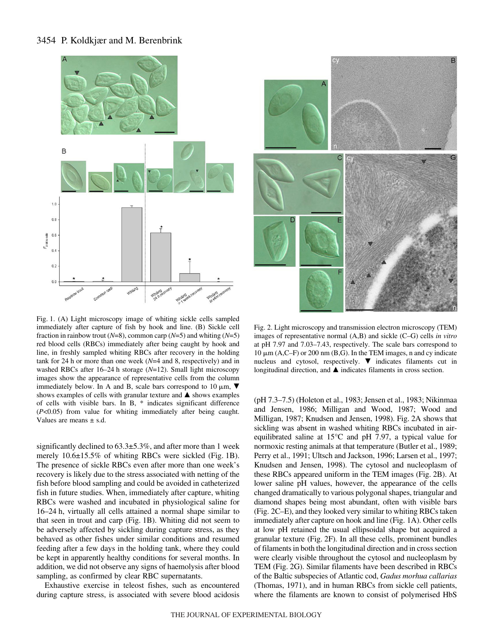# 3454 P. Koldkjær and M. Berenbrink





Fig. 1. (A) Light microscopy image of whiting sickle cells sampled immediately after capture of fish by hook and line. (B) Sickle cell fraction in rainbow trout ( $N=8$ ), common carp ( $N=5$ ) and whiting ( $N=5$ ) red blood cells (RBCs) immediately after being caught by hook and line, in freshly sampled whiting RBCs after recovery in the holding tank for 24 h or more than one week  $(N=4$  and 8, respectively) and in washed RBCs after 16–24 h storage ( $N=12$ ). Small light microscopy images show the appearance of representative cells from the column immediately below. In A and B, scale bars correspond to 10  $\mu$ m,  $\nabla$ shows examples of cells with granular texture and  $\blacktriangle$  shows examples of cells with visible bars. In B, \* indicates significant difference (*P*<0.05) from value for whiting immediately after being caught. Values are means  $\pm$  s.d.

significantly declined to  $63.3\pm5.3\%$ , and after more than 1 week merely 10.6±15.5% of whiting RBCs were sickled (Fig. 1B). The presence of sickle RBCs even after more than one week's recovery is likely due to the stress associated with netting of the fish before blood sampling and could be avoided in catheterized fish in future studies. When, immediately after capture, whiting RBCs were washed and incubated in physiological saline for 16–24 h, virtually all cells attained a normal shape similar to that seen in trout and carp (Fig. 1B). Whiting did not seem to be adversely affected by sickling during capture stress, as they behaved as other fishes under similar conditions and resumed feeding after a few days in the holding tank, where they could be kept in apparently healthy conditions for several months. In addition, we did not observe any signs of haemolysis after blood sampling, as confirmed by clear RBC supernatants.

Exhaustive exercise in teleost fishes, such as encountered during capture stress, is associated with severe blood acidosis

Fig. 2. Light microscopy and transmission electron microscopy (TEM) images of representative normal (A,B) and sickle (C–G) cells *in vitro* at pH 7.97 and 7.03–7.43, respectively. The scale bars correspond to  $10 \mu m$  (A,C–F) or 200 nm (B,G). In the TEM images, n and cy indicate nucleus and cytosol, respectively.  $\blacktriangledown$  indicates filaments cut in longitudinal direction, and  $\blacktriangle$  indicates filaments in cross section.

(pH 7.3–7.5) (Holeton et al., 1983; Jensen et al., 1983; Nikinmaa and Jensen, 1986; Milligan and Wood, 1987; Wood and Milligan, 1987; Knudsen and Jensen, 1998). Fig. 2A shows that sickling was absent in washed whiting RBCs incubated in airequilibrated saline at 15°C and pH 7.97, a typical value for normoxic resting animals at that temperature (Butler et al., 1989; Perry et al., 1991; Ultsch and Jackson, 1996; Larsen et al., 1997; Knudsen and Jensen, 1998). The cytosol and nucleoplasm of these RBCs appeared uniform in the TEM images (Fig. 2B). At lower saline pH values, however, the appearance of the cells changed dramatically to various polygonal shapes, triangular and diamond shapes being most abundant, often with visible bars  $(Fig. 2C-E)$ , and they looked very similar to whiting RBCs taken immediately after capture on hook and line (Fig. 1A). Other cells at low pH retained the usual ellipsoidal shape but acquired a granular texture (Fig. 2F). In all these cells, prominent bundles of filaments in both the longitudinal direction and in cross section were clearly visible throughout the cytosol and nucleoplasm by TEM (Fig. 2G). Similar filaments have been described in RBCs of the Baltic subspecies of Atlantic cod, *Gadus morhua callarias* (Thomas, 1971), and in human RBCs from sickle cell patients, where the filaments are known to consist of polymerised HbS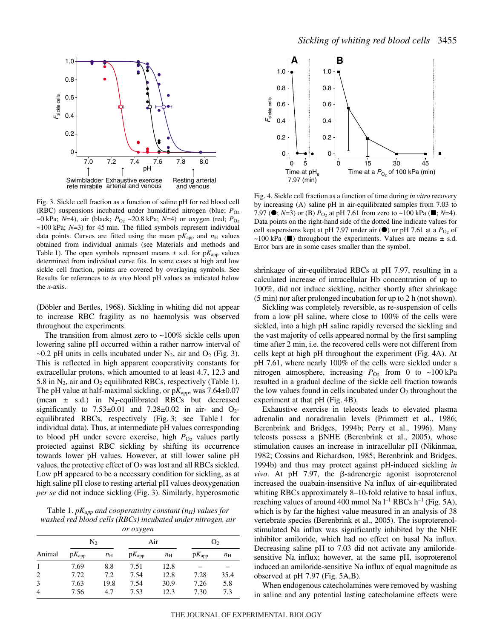

Fig. 3. Sickle cell fraction as a function of saline pH for red blood cell (RBC) suspensions incubated under humidified nitrogen (blue;  $P_{\text{O}_2}$ )  $\sim$ 0 kPa; *N*=4), air (black;  $P_{\text{O}_2} \sim$ 20.8 kPa; *N*=4) or oxygen (red;  $P_{\text{O}_2}$ )  $\sim$ 100 kPa;  $N=3$ ) for 45 min. The filled symbols represent individual data points. Curves are fitted using the mean  $pK_{app}$  and  $n_H$  values obtained from individual animals (see Materials and methods and Table 1). The open symbols represent means  $\pm$  s.d. for p $K_{app}$  values determined from individual curve fits. In some cases at high and low sickle cell fraction, points are covered by overlaying symbols. See Results for references to *in vivo* blood pH values as indicated below the *x*-axis.

(Döbler and Bertles, 1968). Sickling in whiting did not appear to increase RBC fragility as no haemolysis was observed throughout the experiments.

The transition from almost zero to  $~100\%$  sickle cells upon lowering saline pH occurred within a rather narrow interval of ~0.2 pH units in cells incubated under  $N_2$ , air and  $O_2$  (Fig. 3). This is reflected in high apparent cooperativity constants for extracellular protons, which amounted to at least 4.7, 12.3 and 5.8 in  $N_2$ , air and  $O_2$  equilibrated RBCs, respectively (Table 1). The pH value at half-maximal sickling, or  $pK_{app}$ , was 7.64 $\pm$ 0.07 (mean  $\pm$  s.d.) in N<sub>2</sub>-equilibrated RBCs but decreased significantly to  $7.53\pm0.01$  and  $7.28\pm0.02$  in air- and  $O_2$ equilibrated RBCs, respectively (Fig. 3; see Table 1 for individual data). Thus, at intermediate pH values corresponding to blood pH under severe exercise, high  $P_{O_2}$  values partly protected against RBC sickling by shifting its occurrence towards lower pH values. However, at still lower saline pH values, the protective effect of  $O_2$  was lost and all RBCs sickled. Low pH appeared to be a necessary condition for sickling, as at high saline pH close to resting arterial pH values deoxygenation *per se* did not induce sickling (Fig. 3). Similarly, hyperosmotic

Table 1.  $pK_{app}$  *and cooperativity constant* ( $n_H$ ) *values for washed red blood cells (RBCs) incubated under nitrogen, air or oxygen*

| <i>UI UAYKEIL</i> |                   |             |            |             |                |             |  |
|-------------------|-------------------|-------------|------------|-------------|----------------|-------------|--|
|                   | N2                |             | Air        |             | O <sub>2</sub> |             |  |
| Animal            | $pK_{\text{app}}$ | $n_{\rm H}$ | $pK_{app}$ | $n_{\rm H}$ | $pK_{app}$     | $n_{\rm H}$ |  |
|                   | 7.69              | 8.8         | 7.51       | 12.8        |                |             |  |
| 2                 | 7.72              | 7.2         | 7.54       | 12.8        | 7.28           | 35.4        |  |
| 3                 | 7.63              | 19.8        | 7.54       | 30.9        | 7.26           | 5.8         |  |
| $\overline{4}$    | 7.56              | 4.7         | 7.53       | 12.3        | 7.30           | 7.3         |  |



Fig. 4. Sickle cell fraction as a function of time during *in vitro* recovery by increasing (A) saline pH in air-equilibrated samples from 7.03 to 7.97 ( $\bullet$ ; *N*=3) or (B)  $P_{\text{O}_2}$  at pH 7.61 from zero to ~100 kPa ( $\bullet$ ; *N*=4). Data points on the right-hand side of the dotted line indicate values for cell suspensions kept at pH 7.97 under air  $(\bullet)$  or pH 7.61 at a  $P_{O_2}$  of ~100 kPa ( $\blacksquare$ ) throughout the experiments. Values are means  $\pm$  s.d. Error bars are in some cases smaller than the symbol.

shrinkage of air-equilibrated RBCs at pH 7.97, resulting in a calculated increase of intracellular Hb concentration of up to 100%, did not induce sickling, neither shortly after shrinkage  $(5 \text{ min})$  nor after prolonged incubation for up to 2 h (not shown).

Sickling was completely reversible, as re-suspension of cells from a low pH saline, where close to 100% of the cells were sickled, into a high pH saline rapidly reversed the sickling and the vast majority of cells appeared normal by the first sampling time after 2 min, i.e. the recovered cells were not different from cells kept at high pH throughout the experiment (Fig. 4A). At pH 7.61, where nearly 100% of the cells were sickled under a nitrogen atmosphere, increasing  $P_{\text{O}_2}$  from 0 to ~100 kPa resulted in a gradual decline of the sickle cell fraction towards the low values found in cells incubated under  $O_2$  throughout the experiment at that  $pH$  (Fig. 4B).

Exhaustive exercise in teleosts leads to elevated plasma adrenalin and noradrenalin levels (Primmett et al., 1986; Berenbrink and Bridges, 1994b; Perry et al., 1996). Many teleosts possess a  $\beta$ NHE (Berenbrink et al., 2005), whose stimulation causes an increase in intracellular pH (Nikinmaa, 1982; Cossins and Richardson, 1985; Berenbrink and Bridges, 1994b) and thus may protect against pH-induced sickling *in*  $vivo.$  At pH 7.97, the  $\beta$ -adrenergic agonist isoproterenol increased the ouabain-insensitive Na influx of air-equilibrated whiting RBCs approximately 8–10-fold relative to basal influx, reaching values of around 400 mmol Na  $l^{-1}$  RBCs h<sup>-1</sup> (Fig. 5A), which is by far the highest value measured in an analysis of 38 vertebrate species (Berenbrink et al., 2005). The isoproterenolstimulated Na influx was significantly inhibited by the NHE inhibitor amiloride, which had no effect on basal Na influx. Decreasing saline pH to 7.03 did not activate any amiloridesensitive Na influx; however, at the same pH, isoproterenol induced an amiloride-sensitive Na influx of equal magnitude as observed at  $pH$  7.97 (Fig. 5A,B).

When endogenous catecholamines were removed by washing in saline and any potential lasting catecholamine effects were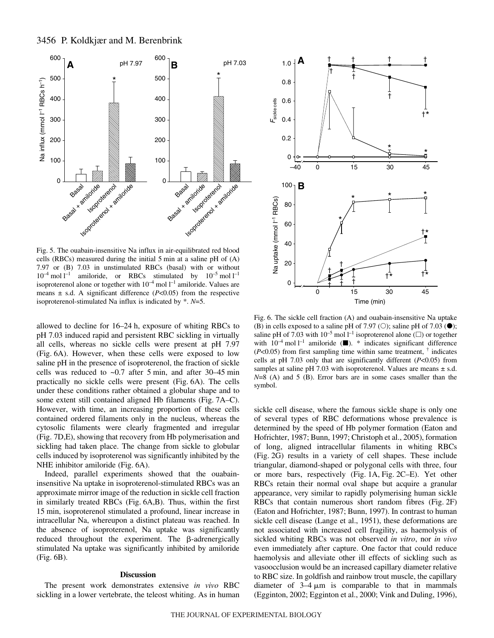

Fig. 5. The ouabain-insensitive Na influx in air-equilibrated red blood cells (RBCs) measured during the initial  $5 \text{ min}$  at a saline pH of  $(A)$ 7.97 or (B) 7.03 in unstimulated RBCs (basal) with or without  $10^{-4}$  mol  $l^{-1}$  amiloride, or RBCs stimulated by  $10^{-5}$  mol  $l^{-1}$ isoproterenol alone or together with  $10^{-4}$  mol  $l^{-1}$  amiloride. Values are means  $\pm$  s.d. A significant difference ( $P<0.05$ ) from the respective isoproterenol-stimulated Na influx is indicated by \*. *N*=5.

allowed to decline for  $16-24$  h, exposure of whiting RBCs to pH 7.03 induced rapid and persistent RBC sickling in virtually all cells, whereas no sickle cells were present at pH 7.97 (Fig. 6A). However, when these cells were exposed to low saline pH in the presence of isoproterenol, the fraction of sickle cells was reduced to  $\sim 0.7$  after 5 min, and after 30–45 min practically no sickle cells were present (Fig. 6A). The cells under these conditions rather obtained a globular shape and to some extent still contained aligned Hb filaments (Fig. 7A–C). However, with time, an increasing proportion of these cells contained ordered filaments only in the nucleus, whereas the cytosolic filaments were clearly fragmented and irregular (Fig. 7D, E), showing that recovery from Hb polymerisation and sickling had taken place. The change from sickle to globular cells induced by isoproterenol was significantly inhibited by the NHE inhibitor amiloride (Fig. 6A).

Indeed, parallel experiments showed that the ouabaininsensitive Na uptake in isoproterenol-stimulated RBCs was an approximate mirror image of the reduction in sickle cell fraction in similarly treated RBCs (Fig. 6A,B). Thus, within the first 15 min, isoproterenol stimulated a profound, linear increase in intracellular Na, whereupon a distinct plateau was reached. In the absence of isoproterenol, Na uptake was significantly  $reduced$  throughout the experiment. The  $\beta$ -adrenergically stimulated Na uptake was significantly inhibited by amiloride  $(Fig. 6B)$ .

## **Discussion**

The present work demonstrates extensive *in vivo* RBC sickling in a lower vertebrate, the teleost whiting. As in human



Fig. 6. The sickle cell fraction (A) and ouabain-insensitive Na uptake (B) in cells exposed to a saline pH of 7.97 (O); saline pH of 7.03  $(\bullet)$ ; saline pH of 7.03 with  $10^{-5}$  mol  $l^{-1}$  isoproterenol alone ( $\square$ ) or together with  $10^{-4}$  mol  $l^{-1}$  amiloride ( $\blacksquare$ ). \* indicates significant difference  $(P<0.05)$  from first sampling time within same treatment,  $\dagger$  indicates cells at pH 7.03 only that are significantly different (*P*<0.05) from samples at saline pH 7.03 with isoproterenol. Values are means  $\pm$  s.d. *N*=8 (A) and 5 (B). Error bars are in some cases smaller than the symbol.

sickle cell disease, where the famous sickle shape is only one of several types of RBC deformations whose prevalence is determined by the speed of Hb polymer formation (Eaton and Hofrichter, 1987; Bunn, 1997; Christoph et al., 2005), formation of long, aligned intracellular filaments in whiting RBCs (Fig. 2G) results in a variety of cell shapes. These include triangular, diamond-shaped or polygonal cells with three, four or more bars, respectively (Fig. 1A, Fig. 2C–E). Yet other RBCs retain their normal oval shape but acquire a granular appearance, very similar to rapidly polymerising human sickle RBCs that contain numerous short random fibres (Fig.  $2F$ ) (Eaton and Hofrichter, 1987; Bunn, 1997). In contrast to human sickle cell disease (Lange et al., 1951), these deformations are not associated with increased cell fragility, as haemolysis of sickled whiting RBCs was not observed *in vitro*, nor *in vivo* even immediately after capture. One factor that could reduce haemolysis and alleviate other ill effects of sickling such as vasoocclusion would be an increased capillary diameter relative to RBC size. In goldfish and rainbow trout muscle, the capillary diameter of  $3-4 \mu m$  is comparable to that in mammals (Egginton, 2002; Egginton et al., 2000; Vink and Duling, 1996),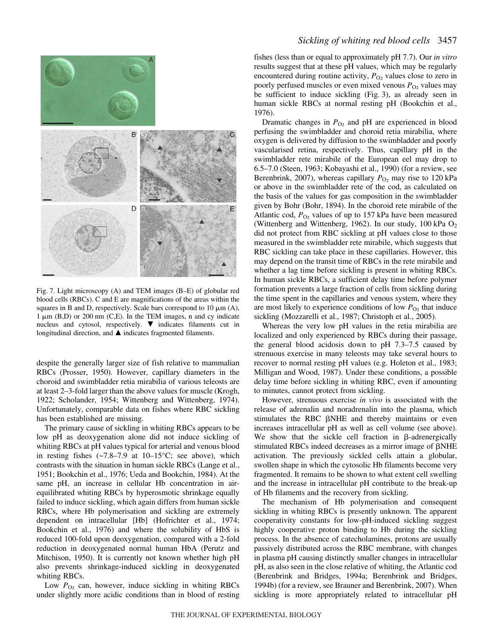

Fig. 7. Light microscopy (A) and TEM images (B-E) of globular red blood cells (RBCs). C and E are magnifications of the areas within the squares in B and D, respectively. Scale bars correspond to  $10 \mu m(A)$ ,  $1 \mu m$  (B,D) or 200 nm (C,E). In the TEM images, n and cy indicate nucleus and cytosol, respectively.  $\blacktriangledown$  indicates filaments cut in longitudinal direction, and  $\blacktriangle$  indicates fragmented filaments.

despite the generally larger size of fish relative to mammalian RBCs (Prosser, 1950). However, capillary diameters in the choroid and swimbladder retia mirabilia of various teleosts are at least 2–3-fold larger than the above values for muscle (Krogh, 1922; Scholander, 1954; Wittenberg and Wittenberg, 1974). Unfortunately, comparable data on fishes where RBC sickling has been established are missing.

The primary cause of sickling in whiting RBCs appears to be low pH as deoxygenation alone did not induce sickling of whiting RBCs at pH values typical for arterial and venous blood in resting fishes  $(-7.8-7.9$  at  $10-15\degree C$ ; see above), which contrasts with the situation in human sickle RBCs (Lange et al., 1951; Bookchin et al., 1976; Ueda and Bookchin, 1984). At the same pH, an increase in cellular Hb concentration in airequilibrated whiting RBCs by hyperosmotic shrinkage equally failed to induce sickling, which again differs from human sickle RBCs, where Hb polymerisation and sickling are extremely dependent on intracellular [Hb] (Hofrichter et al., 1974; Bookchin et al., 1976) and where the solubility of HbS is reduced 100-fold upon deoxygenation, compared with a 2-fold reduction in deoxygenated normal human HbA (Perutz and Mitchison, 1950). It is currently not known whether high pH also prevents shrinkage-induced sickling in deoxygenated whiting RBCs.

Low  $P_{Q_2}$  can, however, induce sickling in whiting RBCs under slightly more acidic conditions than in blood of resting fishes (less than or equal to approximately pH 7.7). Our *in vitro* results suggest that at these pH values, which may be regularly encountered during routine activity,  $P_{\text{O}_2}$  values close to zero in poorly perfused muscles or even mixed venous  $P_{O_2}$  values may be sufficient to induce sickling (Fig. 3), as already seen in human sickle RBCs at normal resting pH (Bookchin et al., 1976).

Dramatic changes in  $P_{\text{O}_2}$  and pH are experienced in blood perfusing the swimbladder and choroid retia mirabilia, where oxygen is delivered by diffusion to the swimbladder and poorly vascularised retina, respectively. Thus, capillary pH in the swimbladder rete mirabile of the European eel may drop to 6.5–7.0 (Steen, 1963; Kobayashi et al., 1990) (for a review, see Berenbrink, 2007), whereas capillary  $P_{\Omega_2}$  may rise to 120 kPa or above in the swimbladder rete of the cod, as calculated on the basis of the values for gas composition in the swimbladder given by Bohr (Bohr, 1894). In the choroid rete mirabile of the Atlantic cod,  $P_{Q_2}$  values of up to 157 kPa have been measured (Wittenberg and Wittenberg, 1962). In our study, 100 kPa  $O_2$ did not protect from RBC sickling at pH values close to those measured in the swimbladder rete mirabile, which suggests that RBC sickling can take place in these capillaries. However, this may depend on the transit time of RBCs in the rete mirabile and whether a lag time before sickling is present in whiting RBCs. In human sickle RBCs, a sufficient delay time before polymer formation prevents a large fraction of cells from sickling during the time spent in the capillaries and venous system, where they are most likely to experience conditions of low  $P_{\text{O}_2}$  that induce sickling (Mozzarelli et al., 1987; Christoph et al., 2005).

Whereas the very low pH values in the retia mirabilia are localized and only experienced by RBCs during their passage, the general blood acidosis down to pH 7.3–7.5 caused by strenuous exercise in many teleosts may take several hours to recover to normal resting pH values (e.g. Holeton et al., 1983; Milligan and Wood, 1987). Under these conditions, a possible delay time before sickling in whiting RBC, even if amounting to minutes, cannot protect from sickling.

However, strenuous exercise *in vivo* is associated with the release of adrenalin and noradrenalin into the plasma, which stimulates the RBC  $\beta$ NHE and thereby maintains or even increases intracellular pH as well as cell volume (see above). We show that the sickle cell fraction in  $\beta$ -adrenergically stimulated RBCs indeed decreases as a mirror image of  $\beta$ NHE activation. The previously sickled cells attain a globular, swollen shape in which the cytosolic Hb filaments become very fragmented. It remains to be shown to what extent cell swelling and the increase in intracellular pH contribute to the break-up of Hb filaments and the recovery from sickling.

The mechanism of Hb polymerisation and consequent sickling in whiting RBCs is presently unknown. The apparent cooperativity constants for low-pH-induced sickling suggest highly cooperative proton binding to Hb during the sickling process. In the absence of catecholamines, protons are usually passively distributed across the RBC membrane, with changes in plasma pH causing distinctly smaller changes in intracellular pH, as also seen in the close relative of whiting, the Atlantic cod (Berenbrink and Bridges, 1994a; Berenbrink and Bridges, 1994b) (for a review, see Brauner and Berenbrink, 2007). When sickling is more appropriately related to intracellular pH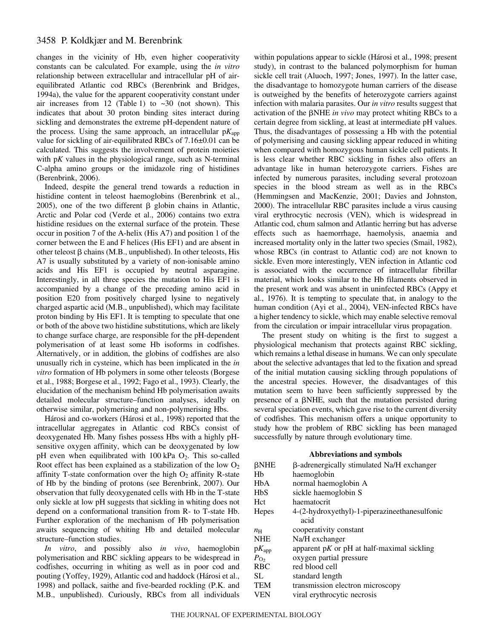# 3458 P. Koldkjær and M. Berenbrink

changes in the vicinity of Hb, even higher cooperativity constants can be calculated. For example, using the *in vitro* relationship between extracellular and intracellular pH of airequilibrated Atlantic cod RBCs (Berenbrink and Bridges, 1994a), the value for the apparent cooperativity constant under air increases from 12 (Table 1) to  $\sim 30$  (not shown). This indicates that about 30 proton binding sites interact during sickling and demonstrates the extreme pH-dependent nature of the process. Using the same approach, an intracellular  $pK_{\text{app}}$ value for sickling of air-equilibrated RBCs of 7.16±0.01 can be calculated. This suggests the involvement of protein moieties with p*K* values in the physiological range, such as N-terminal C-alpha amino groups or the imidazole ring of histidines (Berenbrink, 2006).

Indeed, despite the general trend towards a reduction in histidine content in teleost haemoglobins (Berenbrink et al., 2005), one of the two different  $\beta$  globin chains in Atlantic, Arctic and Polar cod (Verde et al., 2006) contains two extra histidine residues on the external surface of the protein. These occur in position 7 of the A-helix (His A7) and position 1 of the corner between the E and F helices (His EF1) and are absent in other teleost  $\beta$  chains (M.B., unpublished). In other teleosts, His A7 is usually substituted by a variety of non-ionisable amino acids and His EF1 is occupied by neutral asparagine. Interestingly, in all three species the mutation to His EF1 is accompanied by a change of the preceding amino acid in position E20 from positively charged lysine to negatively charged aspartic acid (M.B., unpublished), which may facilitate proton binding by His EF1. It is tempting to speculate that one or both of the above two histidine substitutions, which are likely to change surface charge, are responsible for the pH-dependent polymerisation of at least some Hb isoforms in codfishes. Alternatively, or in addition, the globins of codfishes are also unusually rich in cysteine, which has been implicated in the *in vitro* formation of Hb polymers in some other teleosts (Borgese et al., 1988; Borgese et al., 1992; Fago et al., 1993). Clearly, the elucidation of the mechanism behind Hb polymerisation awaits detailed molecular structure–function analyses, ideally on otherwise similar, polymerising and non-polymerising Hbs.

Hárosi and co-workers (Hárosi et al., 1998) reported that the intracellular aggregates in Atlantic cod RBCs consist of deoxygenated Hb. Many fishes possess Hbs with a highly pHsensitive oxygen affinity, which can be deoxygenated by low pH even when equilibrated with  $100$  kPa  $O_2$ . This so-called Root effect has been explained as a stabilization of the low  $O_2$ affinity T-state conformation over the high  $O_2$  affinity R-state of Hb by the binding of protons (see Berenbrink, 2007). Our observation that fully deoxygenated cells with Hb in the T-state only sickle at low pH suggests that sickling in whiting does not depend on a conformational transition from R- to T-state Hb. Further exploration of the mechanism of Hb polymerisation awaits sequencing of whiting Hb and detailed molecular structure–function studies.

*In vitro*, and possibly also *in vivo*, haemoglobin polymerisation and RBC sickling appears to be widespread in codfishes, occurring in whiting as well as in poor cod and pouting (Yoffey, 1929), Atlantic cod and haddock (Hárosi et al., 1998) and pollack, saithe and five-bearded rockling (P.K. and M.B., unpublished). Curiously, RBCs from all individuals within populations appear to sickle (Hárosi et al., 1998; present study), in contrast to the balanced polymorphism for human sickle cell trait (Aluoch, 1997; Jones, 1997). In the latter case, the disadvantage to homozygote human carriers of the disease is outweighed by the benefits of heterozygote carriers against infection with malaria parasites. Our *in vitro* results suggest that activation of the  $\beta$ NHE *in vivo* may protect whiting RBCs to a certain degree from sickling, at least at intermediate pH values. Thus, the disadvantages of possessing a Hb with the potential of polymerising and causing sickling appear reduced in whiting when compared with homozygous human sickle cell patients. It is less clear whether RBC sickling in fishes also offers an advantage like in human heterozygote carriers. Fishes are infected by numerous parasites, including several protozoan species in the blood stream as well as in the RBCs (Hemmingsen and MacKenzie, 2001; Davies and Johnston, 2000). The intracellular RBC parasites include a virus causing viral erythrocytic necrosis (VEN), which is widespread in Atlantic cod, chum salmon and Atlantic herring but has adverse effects such as haemorrhage, haemolysis, anaemia and increased mortality only in the latter two species (Smail, 1982), whose RBCs (in contrast to Atlantic cod) are not known to sickle. Even more interestingly, VEN infection in Atlantic cod is associated with the occurrence of intracellular fibrillar material, which looks similar to the Hb filaments observed in the present work and was absent in uninfected RBCs (Appy et al., 1976). It is tempting to speculate that, in analogy to the human condition (Ayi et al., 2004), VEN-infected RBCs have a higher tendency to sickle, which may enable selective removal from the circulation or impair intracellular virus propagation.

The present study on whiting is the first to suggest a physiological mechanism that protects against RBC sickling, which remains a lethal disease in humans. We can only speculate about the selective advantages that led to the fixation and spread of the initial mutation causing sickling through populations of the ancestral species. However, the disadvantages of this mutation seem to have been sufficiently suppressed by the presence of a  $\beta$ NHE, such that the mutation persisted during several speciation events, which gave rise to the current diversity of codfishes. This mechanism offers a unique opportunity to study how the problem of RBC sickling has been managed successfully by nature through evolutionary time.

### **Abbreviations and symbols**

| $\beta$ NHE  | β-adrenergically stimulated Na/H exchanger     |
|--------------|------------------------------------------------|
| Hb           | haemoglobin                                    |
| <b>HbA</b>   | normal haemoglobin A                           |
| <b>HbS</b>   | sickle haemoglobin S                           |
| Hct          | haematocrit                                    |
| Hepes        | 4-(2-hydroxyethyl)-1-piperazineethanesulfonic  |
|              | acid                                           |
| $n_{\rm H}$  | cooperativity constant                         |
| <b>NHE</b>   | Na/H exchanger                                 |
| $pK_{app}$   | apparent $pK$ or $pH$ at half-maximal sickling |
| $P_{\Omega}$ | oxygen partial pressure                        |
| <b>RBC</b>   | red blood cell                                 |
| SL.          | standard length                                |
| <b>TEM</b>   | transmission electron microscopy               |
| VEN          | viral erythrocytic necrosis                    |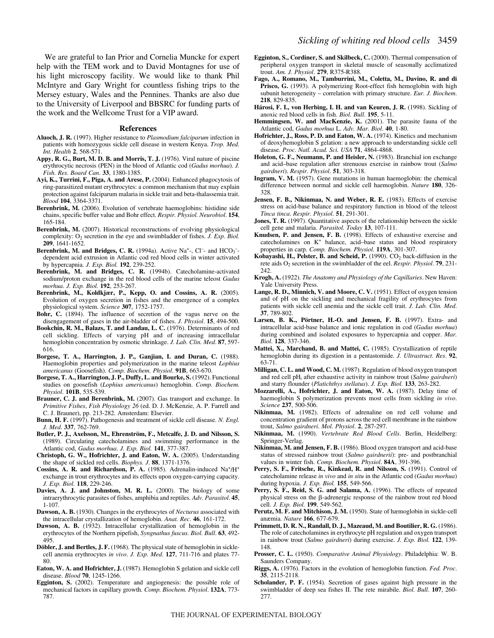We are grateful to Ian Prior and Cornelia Muncke for expert help with the TEM work and to David Montagnes for use of his light microscopy facility. We would like to thank Phil McIntyre and Gary Wright for countless fishing trips to the Mersey estuary, Wales and the Pennines. Thanks are also due to the University of Liverpool and BBSRC for funding parts of the work and the Wellcome Trust for a VIP award.

#### **References**

- **Aluoch, J. R.** (1997). Higher resistance to *Plasmodium falciparum* infection in patients with homozygous sickle cell disease in western Kenya. *Trop. Med. Int. Health* **2**, 568-571.
- **Appy, R. G., Burt, M. D. B. and Morris, T. J.** (1976). Viral nature of piscine erythrocytic necrosis (PEN) in the blood of Atlantic cod (*Gadus morhua*). *J. Fish. Res. Board Can*. **33**, 1380-1385.
- **Ayi, K., Turrini, F., Piga, A. and Arese, P.** (2004). Enhanced phagocytosis of ring-parasitized mutant erythrocytes: a common mechanism that may explain protection against falciparum malaria in sickle trait and beta-thalassemia trait. *Blood* **104**, 3364-3371.
- **Berenbrink, M.** (2006). Evolution of vertebrate haemoglobins: histidine side chains, specific buffer value and Bohr effect. *Respir. Physiol. Neurobiol*. **154**, 165-184.
- **Berenbrink, M.** (2007). Historical reconstructions of evolving physiological complexity: O<sub>2</sub> secretion in the eye and swimbladder of fishes. *J. Exp. Biol.* **209**, 1641-1652.
- Berenbrink, M. and Bridges, C. R. (1994a). Active Na<sup>+</sup>-, Cl<sup>-</sup>- and HCO<sub>3</sub><sup>-</sup>dependent acid extrusion in Atlantic cod red blood cells in winter activated by hypercapnia. *J. Exp. Biol.* **192**, 239-252.
- **Berenbrink, M. and Bridges, C. R.** (1994b). Catecholamine-activated sodium/proton exchange in the red blood cells of the marine teleost *Gadus morhua*. *J. Exp. Biol.* **192**, 253-267.
- **Berenbrink, M., Koldkjær, P., Kepp, O. and Cossins, A. R.** (2005). Evolution of oxygen secretion in fishes and the emergence of a complex physiological system. *Science* **307**, 1752-1757.
- **Bohr, C.** (1894). The influence of secretion of the vagus nerve on the disengagement of gases in the air-bladder of fishes. *J. Physiol*. **15**, 494-500.
- **Bookchin, R. M., Balazs, T. and Landau, L. C.** (1976). Determinants of red cell sickling. Effects of varying pH and of increasing intracellular hemoglobin concentration by osmotic shrinkage. *J. Lab. Clin. Med*. **87**, 597- 616.
- **Borgese, T. A., Harrington, J. P., Ganjian, I. and Duran, C.** (1988). Haemoglobin properties and polymerization in the marine teleost *Lophius americanus* (Goosefish). *Comp. Biochem. Physiol*. **91B**, 663-670.
- **Borgese, T. A., Harrington, J. P., Duffy, L. and Bourke, S.** (1992). Functional studies on goosefish (*Lophius americanus*) hemoglobin. *Comp. Biochem. Physiol*. **101B**, 535-539.
- **Brauner, C. J. and Berenbrink, M.** (2007). Gas transport and exchange. In *Primitive Fishes*, *Fish Physiology 26* (ed. D. J. McKenzie, A. P. Farrell and C. J. Brauner), pp. 213-282. Amsterdam: Elsevier.
- **Bunn, H. F.** (1997). Pathogenesis and treatment of sickle cell disease. *N. Engl. J. Med*. **337**, 762-769.
- **Butler, P. J., Axelsson, M., Ehrenström, F., Metcalfe, J. D. and Nilsson, S.** (1989). Circulating catecholamines and swimming performance in the Atlantic cod, *Gadus morhua*. *J. Exp. Biol.* **141**, 377-387.
- **Christoph, G. W., Hofrichter, J. and Eaton, W. A.** (2005). Understanding the shape of sickled red cells. *Biophys. J*. **88**, 1371-1376.
- Cossins, A. R. and Richardson, P. A. (1985). Adrenalin-induced Na<sup>+</sup>/H<sup>+</sup> exchange in trout erythrocytes and its effects upon oxygen-carrying capacity. *J. Exp. Biol.* **118**, 229-246.
- **Davies, A. J. and Johnston, M. R. L.** (2000). The biology of some intraerythrocytic parasites of fishes, amphibia and reptiles. *Adv. Parasitol*. **45**, 1-107.
- **Dawson, A. B.** (1930). Changes in the erythrocytes of *Necturus* associated with the intracellular crystallization of hemoglobin. *Anat. Rec*. **46**, 161-172.
- **Dawson, A. B.** (1932). Intracellular crystallization of hemoglobin in the erythrocytes of the Northern pipefish, *Syngnathus fuscus*. *Biol. Bull*. **63**, 492- 495.
- **Döbler, J. and Bertles, J. F.** (1968). The physical state of hemoglobin in sicklecell anemia erythrocytes *in vivo*. *J. Exp. Med*. **127**, 711-716 and plates 77- 80.
- **Eaton, W. A. and Hofrichter, J.** (1987). Hemoglobin S gelation and sickle cell disease. *Blood* **70**, 1245-1266.
- **Egginton, S.** (2002). Temperature and angiogenesis: the possible role of mechanical factors in capillary growth. *Comp. Biochem. Physiol*. **132A**, 773- 787.
- **Egginton, S., Cordiner, S. and Skilbeck, C.** (2000). Thermal compensation of peripheral oxygen transport in skeletal muscle of seasonally acclimatized trout. *Am. J. Physiol*. **279**, R375-R388.
- **Fago, A., Romano, M., Tamburrini, M., Coletta, M., Davino, R. and di Prisco, G.** (1993). A polymerizing Root-effect fish hemoglobin with high subunit heterogeneity – correlation with primary structure. *Eur. J. Biochem*. **218**, 829-835.
- **Hárosi, F. I., von Herbing, I. H. and van Keuren, J. R.** (1998). Sickling of anoxic red blood cells in fish. *Biol. Bull*. **195**, 5-11.
- **Hemmingsen, W. and MacKenzie, K.** (2001). The parasite fauna of the Atlantic cod, *Gadus morhua* L. *Adv. Mar. Biol*. **40**, 1-80.
- **Hofrichter, J., Ross, P. D. and Eaton, W. A.** (1974). Kinetics and mechanism of deoxyhemoglobin S gelation: a new approach to understanding sickle cell disease. *Proc. Natl. Acad. Sci. USA* **71**, 4864-4868.
- **Holeton, G. F., Neumann, P. and Heisler, N.** (1983). Branchial ion exchange and acid–base regulation after strenuous exercise in rainbow trout (*Salmo gairdneri*). *Respir. Physiol*. **51**, 303-318.
- **Ingram, V. M.** (1957). Gene mutations in human haemoglobin: the chemical difference between normal and sickle cell haemoglobin. *Nature* **180**, 326- 328.
- **Jensen, F. B., Nikinmaa, N. and Weber, R. E.** (1983). Effects of exercise stress on acid-base balance and respiratory function in blood of the teleost *Tinca tinca*. *Respir. Physiol*. **51**, 291-301.
- **Jones, T. R.** (1997). Quantitative aspects of the relationship between the sickle cell gene and malaria. *Parasitol. Today* **13**, 107-111.
- **Knudsen, P. and Jensen, F. B.** (1998). Effects of exhaustive exercise and catecholamines on K<sup>+</sup> balance, acid–base status and blood respiratory properties in carp. *Comp. Biochem. Physiol*. **119A**, 301-307.
- **Kobayashi, H., Pelster, B. and Scheid, P.** (1990). CO<sub>2</sub> back-diffusion in the rete aids O2 secretion in the swimbladder of the eel. *Respir. Physiol*. **79**, 231- 242
- **Krogh, A.** (1922). *The Anatomy and Physiology of the Capillaries*. New Haven: Yale University Press.
- **Lange, R. D., Minnich, V. and Moore, C. V.** (1951). Effect of oxygen tension and of pH on the sickling and mechanical fragility of erythrocytes from patients with sickle cell anemia and the sickle cell trait. *J. Lab. Clin. Med*. **37**, 789-802.
- **Larsen, B. K., Pörtner, H.-O. and Jensen, F. B.** (1997). Extra- and intracellular acid-base balance and ionic regulation in cod (*Gadus morhua*) during combined and isolated exposures to hypercapnia and copper. *Mar. Biol*. **128**, 337-346.
- **Mattei, X., Marchand, B. and Mattei, C.** (1985). Crystallization of reptile hemoglobin during its digestion in a pentastomide. *J. Ultrastruct. Res*. **92**, 63-71.
- **Milligan, C. L. and Wood, C. M.** (1987). Regulation of blood oxygen transport and red cell pHi after exhaustive activity in rainbow trout (*Salmo gairdneri*) and starry flounder (*Platichthys stellatus*). *J. Exp. Biol.* **133**, 263-282.
- **Mozzarelli, A., Hofrichter, J. and Eaton, W. A.** (1987). Delay time of haemoglobin S polymerization prevents most cells from sickling *in vivo*. *Science* **237**, 500-506.
- **Nikinmaa, M.** (1982). Effects of adrenaline on red cell volume and concentration gradient of protons across the red cell membrane in the rainbow trout, *Salmo gairdneri*. *Mol. Physiol*. **2**, 287-297.
- **Nikinmaa, M.** (1990). *Vertebrate Red Blood Cells*. Berlin, Heidelberg: Springer-Verlag.
- **Nikinmaa, M. and Jensen, F. B.** (1986). Blood oxygen transport and acid-base status of stressed rainbow trout (*Salmo gairdnerii*): pre- and postbranchial values in winter fish. *Comp. Biochem. Physiol*. **84A**, 391-396.
- Perry, S. F., Fritsche, R., Kinkead, R. and Nilsson, S. (1991). Control of catecholamine release *in vivo* and *in situ* in the Atlantic cod (*Gadus morhua*) during hypoxia. *J. Exp. Biol.* **155**, 549-566.
- Perry, S. F., Reid, S. G. and Salama, A. (1996). The effects of repeated physical stress on the  $\beta$ -adrenergic response of the rainbow trout red blood cell. *J. Exp. Biol.* **199**, 549-562.
- **Perutz, M. F. and Mitchison, J. M.** (1950). State of hæmoglobin in sickle-cell anæmia. *Nature* **166**, 677-679.
- **Primmett, D. R. N., Randall, D. J., Mazeaud, M. and Boutilier, R. G.** (1986). The role of catecholamines in erythrocyte pH regulation and oxygen transport in rainbow trout (*Salmo gairdneri*) during exercise. *J. Exp. Biol.* **122**, 139- 148.
- **Prosser, C. L.** (1950). *Comparative Animal Physiology*. Philadelphia: W. B. Saunders Company.
- **Riggs, A.** (1976). Factors in the evolution of hemoglobin function. *Fed. Proc*. **35**, 2115-2118.
- **Scholander, P. F.** (1954). Secretion of gases against high pressure in the swimbladder of deep sea fishes II. The rete mirabile. *Biol. Bull*. **107**, 260- 277.